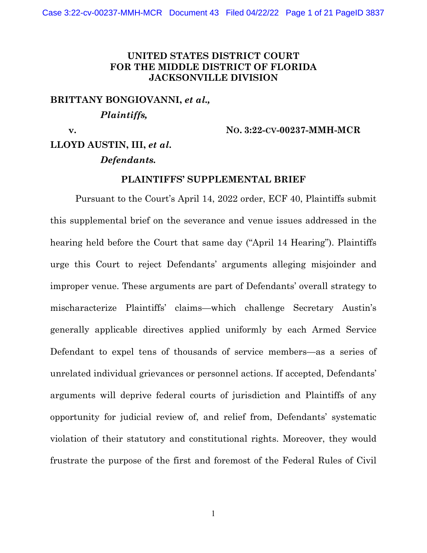### **UNITED STATES DISTRICT COURT FOR THE MIDDLE DISTRICT OF FLORIDA JACKSONVILLE DIVISION**

**BRITTANY BONGIOVANNI,** *et al.,* *Plaintiffs,* 

 **v. NO. 3:22-CV-00237-MMH-MCR**

# **LLOYD AUSTIN, III,** *et al***.** *Defendants.*

#### **PLAINTIFFS' SUPPLEMENTAL BRIEF**

Pursuant to the Court's April 14, 2022 order, ECF 40, Plaintiffs submit this supplemental brief on the severance and venue issues addressed in the hearing held before the Court that same day ("April 14 Hearing"). Plaintiffs urge this Court to reject Defendants' arguments alleging misjoinder and improper venue. These arguments are part of Defendants' overall strategy to mischaracterize Plaintiffs' claims—which challenge Secretary Austin's generally applicable directives applied uniformly by each Armed Service Defendant to expel tens of thousands of service members—as a series of unrelated individual grievances or personnel actions. If accepted, Defendants' arguments will deprive federal courts of jurisdiction and Plaintiffs of any opportunity for judicial review of, and relief from, Defendants' systematic violation of their statutory and constitutional rights. Moreover, they would frustrate the purpose of the first and foremost of the Federal Rules of Civil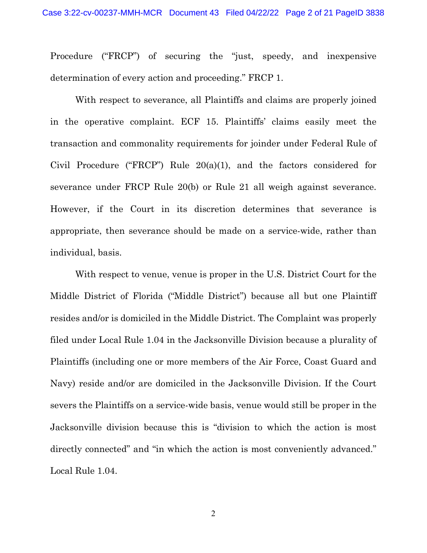Procedure ("FRCP") of securing the "just, speedy, and inexpensive determination of every action and proceeding." FRCP 1.

With respect to severance, all Plaintiffs and claims are properly joined in the operative complaint. ECF 15. Plaintiffs' claims easily meet the transaction and commonality requirements for joinder under Federal Rule of Civil Procedure ("FRCP") Rule 20(a)(1), and the factors considered for severance under FRCP Rule 20(b) or Rule 21 all weigh against severance. However, if the Court in its discretion determines that severance is appropriate, then severance should be made on a service-wide, rather than individual, basis.

With respect to venue, venue is proper in the U.S. District Court for the Middle District of Florida ("Middle District") because all but one Plaintiff resides and/or is domiciled in the Middle District. The Complaint was properly filed under Local Rule 1.04 in the Jacksonville Division because a plurality of Plaintiffs (including one or more members of the Air Force, Coast Guard and Navy) reside and/or are domiciled in the Jacksonville Division. If the Court severs the Plaintiffs on a service-wide basis, venue would still be proper in the Jacksonville division because this is "division to which the action is most directly connected" and "in which the action is most conveniently advanced." Local Rule 1.04.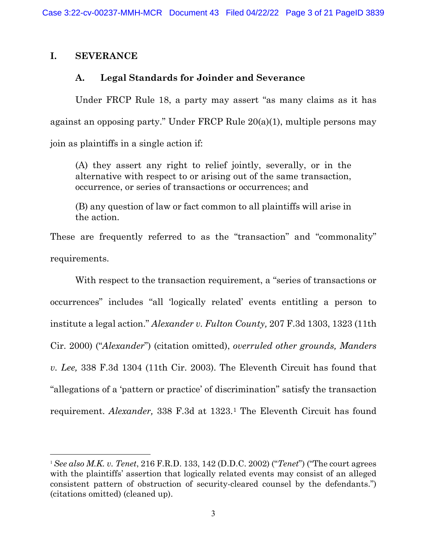# **I. SEVERANCE**

# **A. Legal Standards for Joinder and Severance**

Under FRCP Rule 18, a party may assert "as many claims as it has against an opposing party." Under FRCP Rule 20(a)(1), multiple persons may join as plaintiffs in a single action if:

(A) they assert any right to relief jointly, severally, or in the alternative with respect to or arising out of the same transaction, occurrence, or series of transactions or occurrences; and

(B) any question of law or fact common to all plaintiffs will arise in the action.

These are frequently referred to as the "transaction" and "commonality" requirements.

With respect to the transaction requirement, a "series of transactions or occurrences" includes "all 'logically related' events entitling a person to institute a legal action." *Alexander v. Fulton County,* 207 F.3d 1303, 1323 (11th Cir. 2000) ("*Alexander*") (citation omitted), *overruled other grounds, Manders v. Lee,* 338 F.3d 1304 (11th Cir. 2003). The Eleventh Circuit has found that "allegations of a 'pattern or practice' of discrimination" satisfy the transaction requirement. *Alexander,* 338 F.3d at 1323.[1](#page-2-0) The Eleventh Circuit has found

<span id="page-2-0"></span> $\overline{a}$ <sup>1</sup> *See also M.K. v. Tenet*, 216 F.R.D. 133, 142 (D.D.C. 2002) ("*Tenet*") ("The court agrees with the plaintiffs' assertion that logically related events may consist of an alleged consistent pattern of obstruction of security-cleared counsel by the defendants.") (citations omitted) (cleaned up).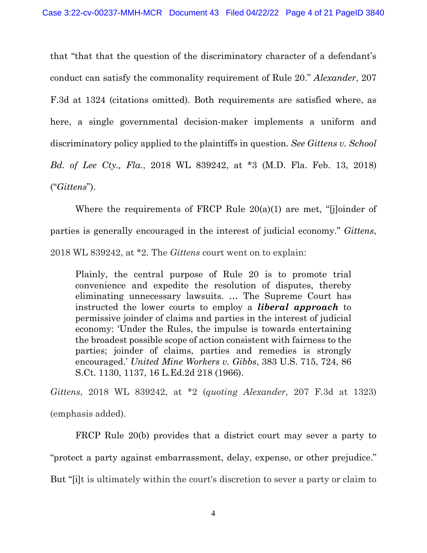that "that that the question of the discriminatory character of a defendant's conduct can satisfy the commonality requirement of Rule 20." *Alexander*, 207 F.3d at 1324 (citations omitted). Both requirements are satisfied where, as here, a single governmental decision-maker implements a uniform and discriminatory policy applied to the plaintiffs in question. *See Gittens v. School Bd. of Lee Cty., Fla.*, 2018 WL 839242, at \*3 (M.D. Fla. Feb. 13, 2018) ("*Gittens*").

Where the requirements of FRCP Rule 20(a)(1) are met, "[j]oinder of parties is generally encouraged in the interest of judicial economy." *Gittens*, 2018 WL 839242, at \*2. The *Gittens* court went on to explain:

Plainly, the central purpose of Rule 20 is to promote trial convenience and expedite the resolution of disputes, thereby eliminating unnecessary lawsuits. … The Supreme Court has instructed the lower courts to employ a *liberal approach* to permissive joinder of claims and parties in the interest of judicial economy: 'Under the Rules, the impulse is towards entertaining the broadest possible scope of action consistent with fairness to the parties; joinder of claims, parties and remedies is strongly encouraged.' *United Mine Workers v. Gibbs*, 383 U.S. 715, 724, 86 S.Ct. 1130, 1137, 16 L.Ed.2d 218 (1966).

*Gittens*, 2018 WL 839242, at \*2 (*quoting Alexander*, 207 F.3d at 1323) (emphasis added).

FRCP Rule 20(b) provides that a district court may sever a party to "protect a party against embarrassment, delay, expense, or other prejudice." But "[i]t is ultimately within the court's discretion to sever a party or claim to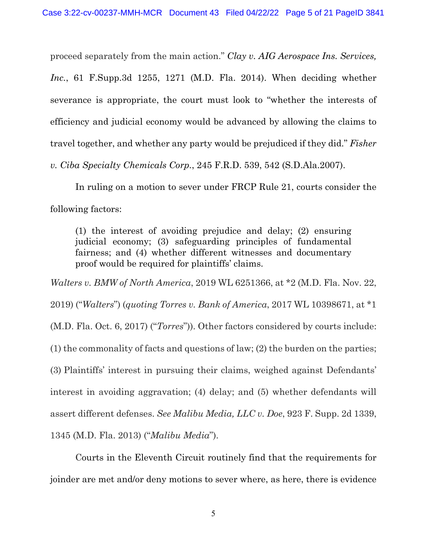proceed separately from the main action." *Clay v. AIG Aerospace Ins. Services, Inc.*, 61 F.Supp.3d 1255, 1271 (M.D. Fla. 2014). When deciding whether severance is appropriate, the court must look to "whether the interests of efficiency and judicial economy would be advanced by allowing the claims to travel together, and whether any party would be prejudiced if they did." *Fisher v. Ciba Specialty Chemicals Corp.*, 245 F.R.D. 539, 542 (S.D.Ala.2007).

In ruling on a motion to sever under FRCP Rule 21, courts consider the following factors:

(1) the interest of avoiding prejudice and delay; (2) ensuring judicial economy; (3) safeguarding principles of fundamental fairness; and (4) whether different witnesses and documentary proof would be required for plaintiffs' claims.

*Walters v. BMW of North America*, 2019 WL 6251366, at \*2 (M.D. Fla. Nov. 22, 2019) ("*Walters*") (*quoting Torres v. Bank of America*, 2017 WL 10398671, at \*1 (M.D. Fla. Oct. 6, 2017) ("*Torres*")). Other factors considered by courts include: (1) the commonality of facts and questions of law; (2) the burden on the parties; (3) Plaintiffs' interest in pursuing their claims, weighed against Defendants' interest in avoiding aggravation; (4) delay; and (5) whether defendants will assert different defenses. *See Malibu Media, LLC v. Doe*, 923 F. Supp. 2d 1339, 1345 (M.D. Fla. 2013) ("*Malibu Media*").

Courts in the Eleventh Circuit routinely find that the requirements for joinder are met and/or deny motions to sever where, as here, there is evidence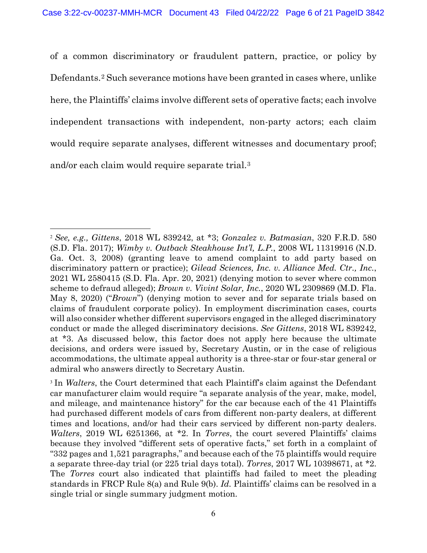of a common discriminatory or fraudulent pattern, practice, or policy by Defendants.[2](#page-5-0) Such severance motions have been granted in cases where, unlike here, the Plaintiffs' claims involve different sets of operative facts; each involve independent transactions with independent, non-party actors; each claim would require separate analyses, different witnesses and documentary proof; and/or each claim would require separate trial.[3](#page-5-1)

<span id="page-5-0"></span><sup>2</sup> *See, e.g., Gittens*, 2018 WL 839242, at \*3; *Gonzalez v. Batmasian*, 320 F.R.D. 580 (S.D. Fla. 2017); *Wimby v. Outback Steakhouse Int'l, L.P.*, 2008 WL 11319916 (N.D. Ga. Oct. 3, 2008) (granting leave to amend complaint to add party based on discriminatory pattern or practice); *Gilead Sciences, Inc. v. Alliance Med. Ctr., Inc.*, 2021 WL 2580415 (S.D. Fla. Apr. 20, 2021) (denying motion to sever where common scheme to defraud alleged); *Brown v. Vivint Solar, Inc.*, 2020 WL 2309869 (M.D. Fla. May 8, 2020) ("*Brown*") (denying motion to sever and for separate trials based on claims of fraudulent corporate policy). In employment discrimination cases, courts will also consider whether different supervisors engaged in the alleged discriminatory conduct or made the alleged discriminatory decisions. *See Gittens*, 2018 WL 839242, at \*3. As discussed below, this factor does not apply here because the ultimate decisions, and orders were issued by, Secretary Austin, or in the case of religious accommodations, the ultimate appeal authority is a three-star or four-star general or admiral who answers directly to Secretary Austin.

<span id="page-5-1"></span><sup>&</sup>lt;sup>3</sup> In *Walters*, the Court determined that each Plaintiff's claim against the Defendant car manufacturer claim would require "a separate analysis of the year, make, model, and mileage, and maintenance history" for the car because each of the 41 Plaintiffs had purchased different models of cars from different non-party dealers, at different times and locations, and/or had their cars serviced by different non-party dealers. *Walters*, 2019 WL 6251366, at \*2. In *Torres*, the court severed Plaintiffs' claims because they involved "different sets of operative facts," set forth in a complaint of "332 pages and 1,521 paragraphs," and because each of the 75 plaintiffs would require a separate three-day trial (or 225 trial days total). *Torres*, 2017 WL 10398671, at \*2. The *Torres* court also indicated that plaintiffs had failed to meet the pleading standards in FRCP Rule 8(a) and Rule 9(b). *Id.* Plaintiffs' claims can be resolved in a single trial or single summary judgment motion.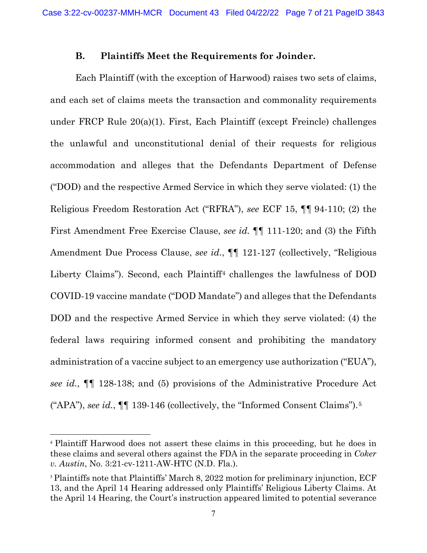#### **B. Plaintiffs Meet the Requirements for Joinder.**

Each Plaintiff (with the exception of Harwood) raises two sets of claims, and each set of claims meets the transaction and commonality requirements under FRCP Rule 20(a)(1). First, Each Plaintiff (except Freincle) challenges the unlawful and unconstitutional denial of their requests for religious accommodation and alleges that the Defendants Department of Defense ("DOD) and the respective Armed Service in which they serve violated: (1) the Religious Freedom Restoration Act ("RFRA"), *see* ECF 15, ¶¶ 94-110; (2) the First Amendment Free Exercise Clause, *see id.* ¶¶ 111-120; and (3) the Fifth Amendment Due Process Clause, *see id.*, **[1** 121-127 (collectively, "Religious Liberty Claims"). Second, each Plaintiff<sup>[4](#page-6-0)</sup> challenges the lawfulness of DOD COVID-19 vaccine mandate ("DOD Mandate") and alleges that the Defendants DOD and the respective Armed Service in which they serve violated: (4) the federal laws requiring informed consent and prohibiting the mandatory administration of a vaccine subject to an emergency use authorization ("EUA"), *see id.*, ¶¶ 128-138; and (5) provisions of the Administrative Procedure Act ("APA"), *see id.*, ¶¶ 139-146 (collectively, the "Informed Consent Claims").[5](#page-6-1)

<span id="page-6-0"></span><sup>4</sup> Plaintiff Harwood does not assert these claims in this proceeding, but he does in these claims and several others against the FDA in the separate proceeding in *Coker v. Austin*, No. 3:21-cv-1211-AW-HTC (N.D. Fla.).

<span id="page-6-1"></span><sup>&</sup>lt;sup>5</sup> Plaintiffs note that Plaintiffs' March 8, 2022 motion for preliminary injunction, ECF 13, and the April 14 Hearing addressed only Plaintiffs' Religious Liberty Claims. At the April 14 Hearing, the Court's instruction appeared limited to potential severance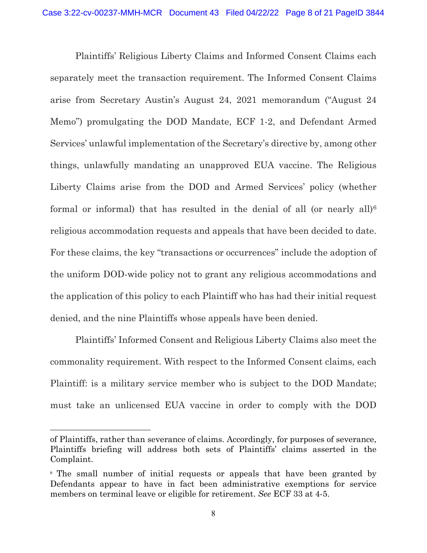Plaintiffs' Religious Liberty Claims and Informed Consent Claims each separately meet the transaction requirement. The Informed Consent Claims arise from Secretary Austin's August 24, 2021 memorandum ("August 24 Memo") promulgating the DOD Mandate, ECF 1-2, and Defendant Armed Services' unlawful implementation of the Secretary's directive by, among other things, unlawfully mandating an unapproved EUA vaccine. The Religious Liberty Claims arise from the DOD and Armed Services' policy (whether formal or informal) that has resulted in the denial of all (or nearly all)<sup>[6](#page-7-0)</sup> religious accommodation requests and appeals that have been decided to date. For these claims, the key "transactions or occurrences" include the adoption of the uniform DOD-wide policy not to grant any religious accommodations and the application of this policy to each Plaintiff who has had their initial request denied, and the nine Plaintiffs whose appeals have been denied.

Plaintiffs' Informed Consent and Religious Liberty Claims also meet the commonality requirement. With respect to the Informed Consent claims, each Plaintiff: is a military service member who is subject to the DOD Mandate; must take an unlicensed EUA vaccine in order to comply with the DOD

of Plaintiffs, rather than severance of claims. Accordingly, for purposes of severance, Plaintiffs briefing will address both sets of Plaintiffs' claims asserted in the Complaint.

<span id="page-7-0"></span><sup>6</sup> The small number of initial requests or appeals that have been granted by Defendants appear to have in fact been administrative exemptions for service members on terminal leave or eligible for retirement. *See* ECF 33 at 4-5.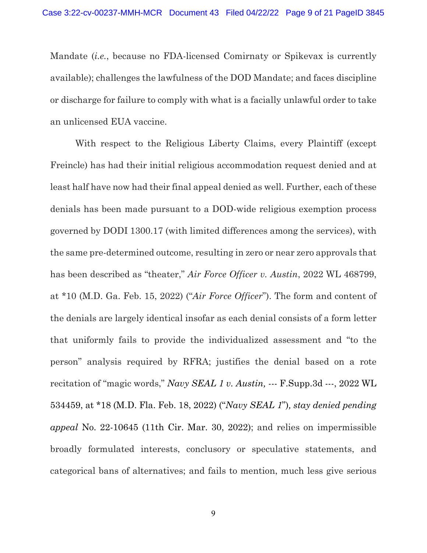Mandate (*i.e.*, because no FDA-licensed Comirnaty or Spikevax is currently available); challenges the lawfulness of the DOD Mandate; and faces discipline or discharge for failure to comply with what is a facially unlawful order to take an unlicensed EUA vaccine.

With respect to the Religious Liberty Claims, every Plaintiff (except Freincle) has had their initial religious accommodation request denied and at least half have now had their final appeal denied as well. Further, each of these denials has been made pursuant to a DOD-wide religious exemption process governed by DODI 1300.17 (with limited differences among the services), with the same pre-determined outcome, resulting in zero or near zero approvals that has been described as "theater," *Air Force Officer v. Austin*, 2022 WL 468799, at \*10 (M.D. Ga. Feb. 15, 2022) ("*Air Force Officer*"). The form and content of the denials are largely identical insofar as each denial consists of a form letter that uniformly fails to provide the individualized assessment and "to the person" analysis required by RFRA; justifies the denial based on a rote recitation of "magic words," *Navy SEAL 1 v. Austin,* --- F.Supp.3d ---, 2022 WL 534459, at \*18 (M.D. Fla. Feb. 18, 2022) ("*Navy SEAL 1*")*, stay denied pending appeal* No. 22-10645 (11th Cir. Mar. 30, 2022); and relies on impermissible broadly formulated interests, conclusory or speculative statements, and categorical bans of alternatives; and fails to mention, much less give serious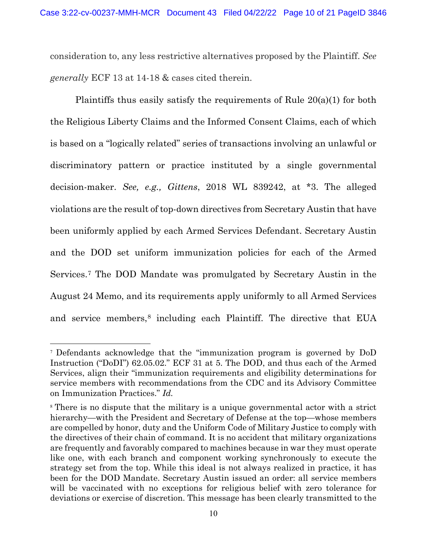consideration to, any less restrictive alternatives proposed by the Plaintiff. *See generally* ECF 13 at 14-18 & cases cited therein.

Plaintiffs thus easily satisfy the requirements of Rule 20(a)(1) for both the Religious Liberty Claims and the Informed Consent Claims, each of which is based on a "logically related" series of transactions involving an unlawful or discriminatory pattern or practice instituted by a single governmental decision-maker. *See, e.g., Gittens*, 2018 WL 839242, at \*3. The alleged violations are the result of top-down directives from Secretary Austin that have been uniformly applied by each Armed Services Defendant. Secretary Austin and the DOD set uniform immunization policies for each of the Armed Services.[7](#page-9-0) The DOD Mandate was promulgated by Secretary Austin in the August 24 Memo, and its requirements apply uniformly to all Armed Services and service members,<sup>[8](#page-9-1)</sup> including each Plaintiff. The directive that EUA

<span id="page-9-0"></span><sup>7</sup> Defendants acknowledge that the "immunization program is governed by DoD Instruction ("DoDI") 62.05.02." ECF 31 at 5. The DOD, and thus each of the Armed Services, align their "immunization requirements and eligibility determinations for service members with recommendations from the CDC and its Advisory Committee on Immunization Practices." *Id.*

<span id="page-9-1"></span><sup>8</sup> There is no dispute that the military is a unique governmental actor with a strict hierarchy—with the President and Secretary of Defense at the top—whose members are compelled by honor, duty and the Uniform Code of Military Justice to comply with the directives of their chain of command. It is no accident that military organizations are frequently and favorably compared to machines because in war they must operate like one, with each branch and component working synchronously to execute the strategy set from the top. While this ideal is not always realized in practice, it has been for the DOD Mandate. Secretary Austin issued an order: all service members will be vaccinated with no exceptions for religious belief with zero tolerance for deviations or exercise of discretion. This message has been clearly transmitted to the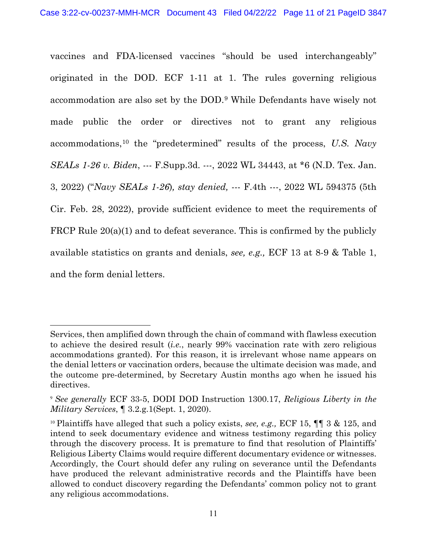vaccines and FDA-licensed vaccines "should be used interchangeably" originated in the DOD. ECF 1-11 at 1. The rules governing religious accommodation are also set by the DOD.[9](#page-10-0) While Defendants have wisely not made public the order or directives not to grant any religious accommodations,[10](#page-10-1) the "predetermined" results of the process, *U.S. Navy SEALs 1-26 v. Biden*, --- F.Supp.3d. ---, 2022 WL 34443, at \*6 (N.D. Tex. Jan. 3, 2022) ("*Navy SEALs 1-26*)*, stay denied,* --- F.4th ---, 2022 WL 594375 (5th Cir. Feb. 28, 2022), provide sufficient evidence to meet the requirements of FRCP Rule  $20(a)(1)$  and to defeat severance. This is confirmed by the publicly available statistics on grants and denials, *see, e.g.,* ECF 13 at 8-9 & Table 1, and the form denial letters.

Services, then amplified down through the chain of command with flawless execution to achieve the desired result (*i.e.*, nearly 99% vaccination rate with zero religious accommodations granted). For this reason, it is irrelevant whose name appears on the denial letters or vaccination orders, because the ultimate decision was made, and the outcome pre-determined, by Secretary Austin months ago when he issued his directives.

<span id="page-10-0"></span><sup>9</sup> *See generally* ECF 33-5, DODI DOD Instruction 1300.17, *Religious Liberty in the Military Services*, ¶ 3.2.g.1(Sept. 1, 2020).

<span id="page-10-1"></span><sup>10</sup> Plaintiffs have alleged that such a policy exists, *see, e.g.,* ECF 15, ¶¶ 3 & 125, and intend to seek documentary evidence and witness testimony regarding this policy through the discovery process. It is premature to find that resolution of Plaintiffs' Religious Liberty Claims would require different documentary evidence or witnesses. Accordingly, the Court should defer any ruling on severance until the Defendants have produced the relevant administrative records and the Plaintiffs have been allowed to conduct discovery regarding the Defendants' common policy not to grant any religious accommodations.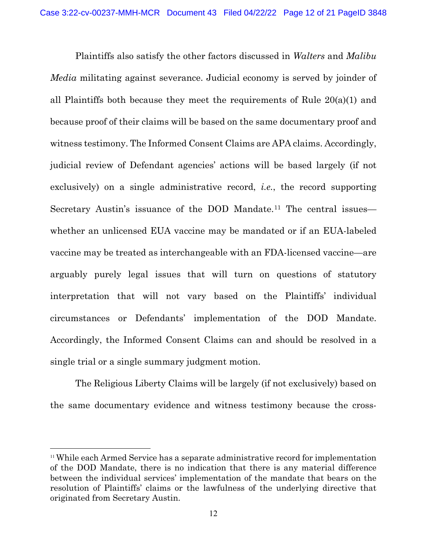Plaintiffs also satisfy the other factors discussed in *Walters* and *Malibu Media* militating against severance. Judicial economy is served by joinder of all Plaintiffs both because they meet the requirements of Rule 20(a)(1) and because proof of their claims will be based on the same documentary proof and witness testimony. The Informed Consent Claims are APA claims. Accordingly, judicial review of Defendant agencies' actions will be based largely (if not exclusively) on a single administrative record, *i.e.*, the record supporting Secretary Austin's issuance of the DOD Mandate.<sup>[11](#page-11-0)</sup> The central issues whether an unlicensed EUA vaccine may be mandated or if an EUA-labeled vaccine may be treated as interchangeable with an FDA-licensed vaccine—are arguably purely legal issues that will turn on questions of statutory interpretation that will not vary based on the Plaintiffs' individual circumstances or Defendants' implementation of the DOD Mandate. Accordingly, the Informed Consent Claims can and should be resolved in a single trial or a single summary judgment motion.

The Religious Liberty Claims will be largely (if not exclusively) based on the same documentary evidence and witness testimony because the cross-

<span id="page-11-0"></span><sup>11</sup> While each Armed Service has a separate administrative record for implementation of the DOD Mandate, there is no indication that there is any material difference between the individual services' implementation of the mandate that bears on the resolution of Plaintiffs' claims or the lawfulness of the underlying directive that originated from Secretary Austin.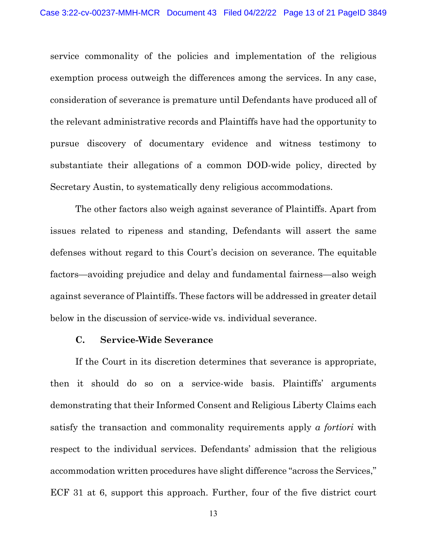service commonality of the policies and implementation of the religious exemption process outweigh the differences among the services. In any case, consideration of severance is premature until Defendants have produced all of the relevant administrative records and Plaintiffs have had the opportunity to pursue discovery of documentary evidence and witness testimony to substantiate their allegations of a common DOD-wide policy, directed by Secretary Austin, to systematically deny religious accommodations.

The other factors also weigh against severance of Plaintiffs. Apart from issues related to ripeness and standing, Defendants will assert the same defenses without regard to this Court's decision on severance. The equitable factors—avoiding prejudice and delay and fundamental fairness—also weigh against severance of Plaintiffs. These factors will be addressed in greater detail below in the discussion of service-wide vs. individual severance.

#### **C. Service-Wide Severance**

If the Court in its discretion determines that severance is appropriate, then it should do so on a service-wide basis. Plaintiffs' arguments demonstrating that their Informed Consent and Religious Liberty Claims each satisfy the transaction and commonality requirements apply *a fortiori* with respect to the individual services. Defendants' admission that the religious accommodation written procedures have slight difference "across the Services," ECF 31 at 6, support this approach. Further, four of the five district court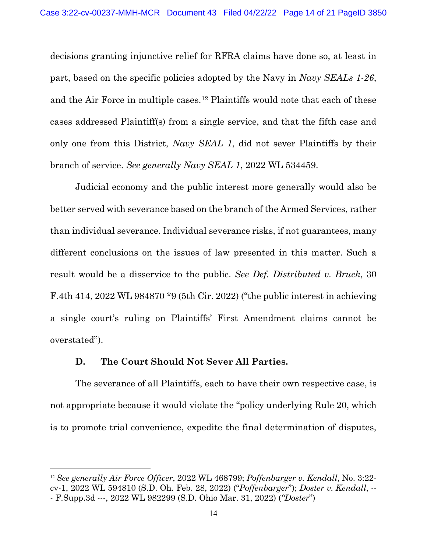decisions granting injunctive relief for RFRA claims have done so, at least in part, based on the specific policies adopted by the Navy in *Navy SEALs 1-26*, and the Air Force in multiple cases.[12](#page-13-0) Plaintiffs would note that each of these cases addressed Plaintiff(s) from a single service, and that the fifth case and only one from this District, *Navy SEAL 1*, did not sever Plaintiffs by their branch of service. *See generally Navy SEAL 1*, 2022 WL 534459.

Judicial economy and the public interest more generally would also be better served with severance based on the branch of the Armed Services, rather than individual severance. Individual severance risks, if not guarantees, many different conclusions on the issues of law presented in this matter. Such a result would be a disservice to the public. *See Def. Distributed v. Bruck*, 30 F.4th 414, 2022 WL 984870 \*9 (5th Cir. 2022) ("the public interest in achieving a single court's ruling on Plaintiffs' First Amendment claims cannot be overstated").

### **D. The Court Should Not Sever All Parties.**

 $\overline{a}$ 

The severance of all Plaintiffs, each to have their own respective case, is not appropriate because it would violate the "policy underlying Rule 20, which is to promote trial convenience, expedite the final determination of disputes,

<span id="page-13-0"></span><sup>12</sup> *See generally Air Force Officer*, 2022 WL 468799; *Poffenbarger v. Kendall*, No. 3:22 cv-1, 2022 WL 594810 (S.D. Oh. Feb. 28, 2022) ("*Poffenbarger*"); *Doster v. Kendall*, -- - F.Supp.3d ---, 2022 WL 982299 (S.D. Ohio Mar. 31, 2022) (*"Doster*")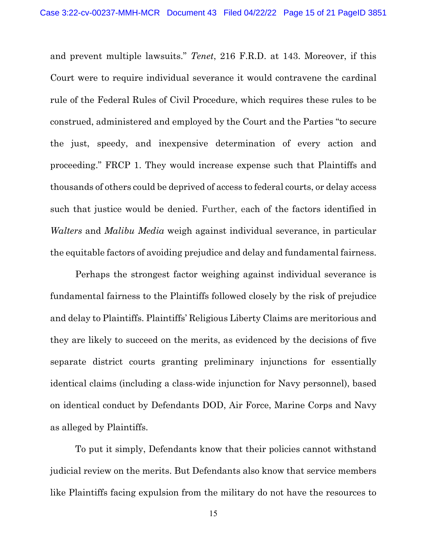and prevent multiple lawsuits." *Tenet*, 216 F.R.D. at 143. Moreover, if this Court were to require individual severance it would contravene the cardinal rule of the Federal Rules of Civil Procedure, which requires these rules to be construed, administered and employed by the Court and the Parties "to secure the just, speedy, and inexpensive determination of every action and proceeding." FRCP 1. They would increase expense such that Plaintiffs and thousands of others could be deprived of access to federal courts, or delay access such that justice would be denied. Further, each of the factors identified in *Walters* and *Malibu Media* weigh against individual severance, in particular the equitable factors of avoiding prejudice and delay and fundamental fairness.

Perhaps the strongest factor weighing against individual severance is fundamental fairness to the Plaintiffs followed closely by the risk of prejudice and delay to Plaintiffs. Plaintiffs' Religious Liberty Claims are meritorious and they are likely to succeed on the merits, as evidenced by the decisions of five separate district courts granting preliminary injunctions for essentially identical claims (including a class-wide injunction for Navy personnel), based on identical conduct by Defendants DOD, Air Force, Marine Corps and Navy as alleged by Plaintiffs.

To put it simply, Defendants know that their policies cannot withstand judicial review on the merits. But Defendants also know that service members like Plaintiffs facing expulsion from the military do not have the resources to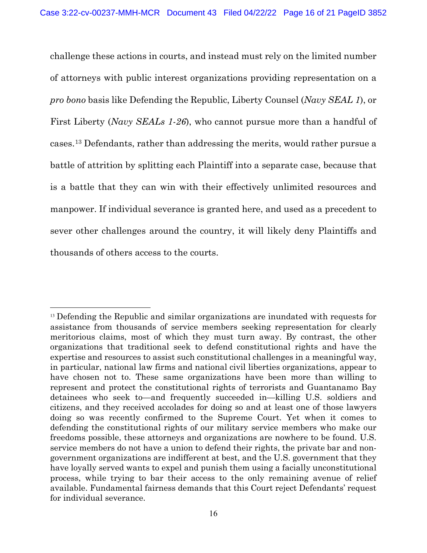challenge these actions in courts, and instead must rely on the limited number of attorneys with public interest organizations providing representation on a *pro bono* basis like Defending the Republic, Liberty Counsel (*Navy SEAL 1*), or First Liberty (*Navy SEALs 1-26*), who cannot pursue more than a handful of cases.[13](#page-15-0) Defendants, rather than addressing the merits, would rather pursue a battle of attrition by splitting each Plaintiff into a separate case, because that is a battle that they can win with their effectively unlimited resources and manpower. If individual severance is granted here, and used as a precedent to sever other challenges around the country, it will likely deny Plaintiffs and thousands of others access to the courts.

<span id="page-15-0"></span> $\overline{a}$ <sup>13</sup> Defending the Republic and similar organizations are inundated with requests for assistance from thousands of service members seeking representation for clearly meritorious claims, most of which they must turn away. By contrast, the other organizations that traditional seek to defend constitutional rights and have the expertise and resources to assist such constitutional challenges in a meaningful way, in particular, national law firms and national civil liberties organizations, appear to have chosen not to. These same organizations have been more than willing to represent and protect the constitutional rights of terrorists and Guantanamo Bay detainees who seek to—and frequently succeeded in—killing U.S. soldiers and citizens, and they received accolades for doing so and at least one of those lawyers doing so was recently confirmed to the Supreme Court. Yet when it comes to defending the constitutional rights of our military service members who make our freedoms possible, these attorneys and organizations are nowhere to be found. U.S. service members do not have a union to defend their rights, the private bar and nongovernment organizations are indifferent at best, and the U.S. government that they have loyally served wants to expel and punish them using a facially unconstitutional process, while trying to bar their access to the only remaining avenue of relief available. Fundamental fairness demands that this Court reject Defendants' request for individual severance.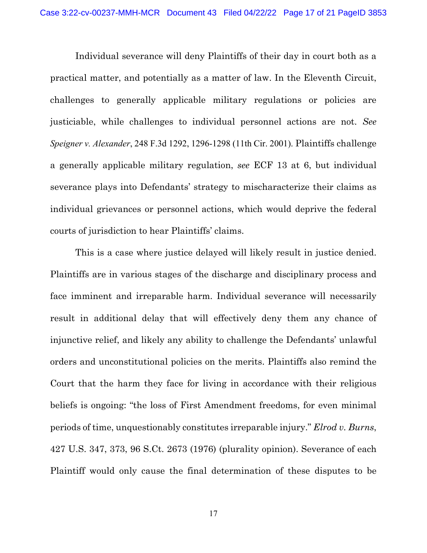Individual severance will deny Plaintiffs of their day in court both as a practical matter, and potentially as a matter of law. In the Eleventh Circuit, challenges to generally applicable military regulations or policies are justiciable, while challenges to individual personnel actions are not. *See Speigner v. Alexander*, 248 F.3d 1292, 1296-1298 (11th Cir. 2001). Plaintiffs challenge a generally applicable military regulation, *see* ECF 13 at 6, but individual severance plays into Defendants' strategy to mischaracterize their claims as individual grievances or personnel actions, which would deprive the federal courts of jurisdiction to hear Plaintiffs' claims.

This is a case where justice delayed will likely result in justice denied. Plaintiffs are in various stages of the discharge and disciplinary process and face imminent and irreparable harm. Individual severance will necessarily result in additional delay that will effectively deny them any chance of injunctive relief, and likely any ability to challenge the Defendants' unlawful orders and unconstitutional policies on the merits. Plaintiffs also remind the Court that the harm they face for living in accordance with their religious beliefs is ongoing: "the loss of First Amendment freedoms, for even minimal periods of time, unquestionably constitutes irreparable injury." *Elrod v. Burns*, 427 U.S. 347, 373, 96 S.Ct. 2673 (1976) (plurality opinion). Severance of each Plaintiff would only cause the final determination of these disputes to be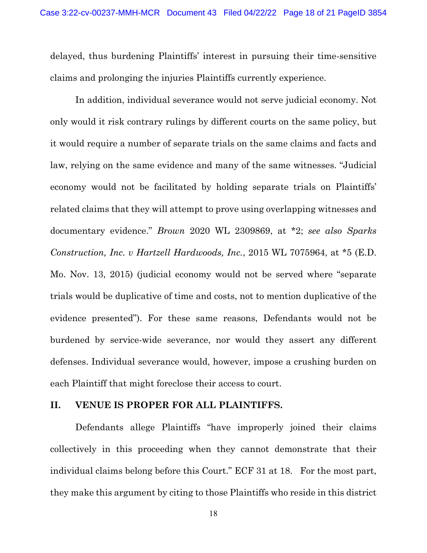delayed, thus burdening Plaintiffs' interest in pursuing their time-sensitive claims and prolonging the injuries Plaintiffs currently experience.

In addition, individual severance would not serve judicial economy. Not only would it risk contrary rulings by different courts on the same policy, but it would require a number of separate trials on the same claims and facts and law, relying on the same evidence and many of the same witnesses. "Judicial economy would not be facilitated by holding separate trials on Plaintiffs' related claims that they will attempt to prove using overlapping witnesses and documentary evidence." *Brown* 2020 WL 2309869, at \*2; *see also Sparks Construction, Inc. v Hartzell Hardwoods, Inc.*, 2015 WL 7075964, at \*5 (E.D. Mo. Nov. 13, 2015) (judicial economy would not be served where "separate trials would be duplicative of time and costs, not to mention duplicative of the evidence presented"). For these same reasons, Defendants would not be burdened by service-wide severance, nor would they assert any different defenses. Individual severance would, however, impose a crushing burden on each Plaintiff that might foreclose their access to court.

#### **II. VENUE IS PROPER FOR ALL PLAINTIFFS.**

Defendants allege Plaintiffs "have improperly joined their claims collectively in this proceeding when they cannot demonstrate that their individual claims belong before this Court." ECF 31 at 18. For the most part, they make this argument by citing to those Plaintiffs who reside in this district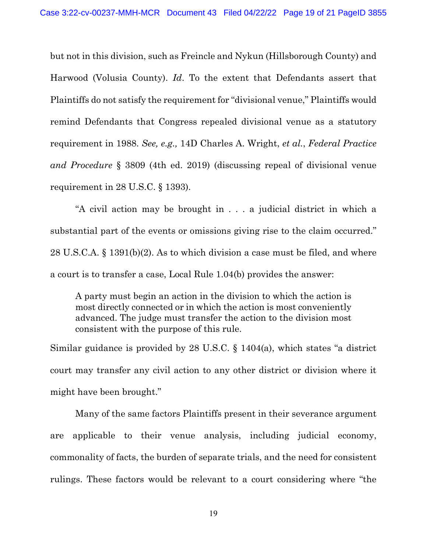but not in this division, such as Freincle and Nykun (Hillsborough County) and Harwood (Volusia County). *Id*. To the extent that Defendants assert that Plaintiffs do not satisfy the requirement for "divisional venue," Plaintiffs would remind Defendants that Congress repealed divisional venue as a statutory requirement in 1988. *See, e.g.,* 14D Charles A. Wright, *et al.*, *Federal Practice and Procedure* § 3809 (4th ed. 2019) (discussing repeal of divisional venue requirement in 28 U.S.C. § 1393).

"A civil action may be brought in . . . a judicial district in which a substantial part of the events or omissions giving rise to the claim occurred." 28 U.S.C.A. § 1391(b)(2). As to which division a case must be filed, and where a court is to transfer a case, Local Rule 1.04(b) provides the answer:

A party must begin an action in the division to which the action is most directly connected or in which the action is most conveniently advanced. The judge must transfer the action to the division most consistent with the purpose of this rule.

Similar guidance is provided by 28 U.S.C. § 1404(a), which states "a district court may transfer any civil action to any other district or division where it might have been brought."

Many of the same factors Plaintiffs present in their severance argument are applicable to their venue analysis, including judicial economy, commonality of facts, the burden of separate trials, and the need for consistent rulings. These factors would be relevant to a court considering where "the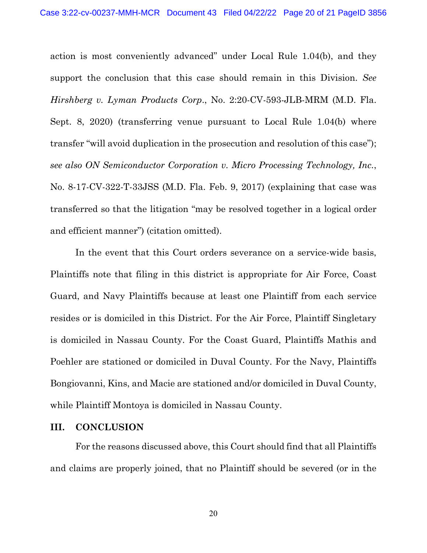action is most conveniently advanced" under Local Rule 1.04(b), and they support the conclusion that this case should remain in this Division. *See Hirshberg v. Lyman Products Corp*., No. 2:20-CV-593-JLB-MRM (M.D. Fla. Sept. 8, 2020) (transferring venue pursuant to Local Rule 1.04(b) where transfer "will avoid duplication in the prosecution and resolution of this case"); *see also ON Semiconductor Corporation v. Micro Processing Technology, Inc.*, No. 8-17-CV-322-T-33JSS (M.D. Fla. Feb. 9, 2017) (explaining that case was transferred so that the litigation "may be resolved together in a logical order and efficient manner") (citation omitted).

In the event that this Court orders severance on a service-wide basis, Plaintiffs note that filing in this district is appropriate for Air Force, Coast Guard, and Navy Plaintiffs because at least one Plaintiff from each service resides or is domiciled in this District. For the Air Force, Plaintiff Singletary is domiciled in Nassau County. For the Coast Guard, Plaintiffs Mathis and Poehler are stationed or domiciled in Duval County. For the Navy, Plaintiffs Bongiovanni, Kins, and Macie are stationed and/or domiciled in Duval County, while Plaintiff Montoya is domiciled in Nassau County.

### **III. CONCLUSION**

For the reasons discussed above, this Court should find that all Plaintiffs and claims are properly joined, that no Plaintiff should be severed (or in the